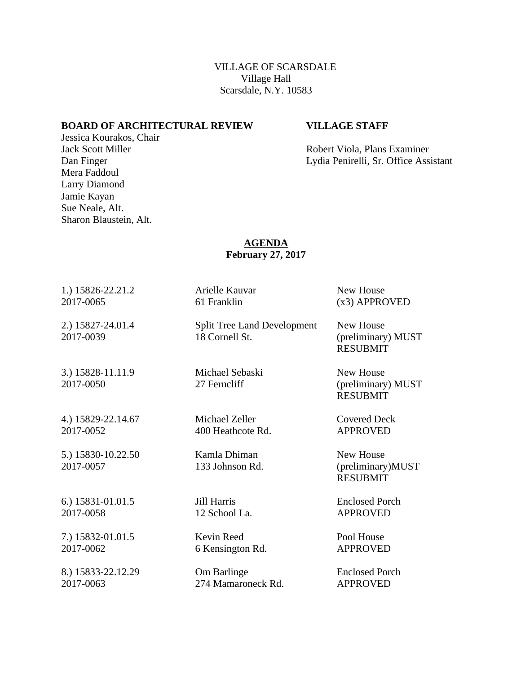VILLAGE OF SCARSDALE Village Hall Scarsdale, N.Y. 10583

## **BOARD OF ARCHITECTURAL REVIEW VILLAGE STAFF**

Jessica Kourakos, Chair

Sharon Blaustein, Alt.

Mera Faddoul Larry Diamond Jamie Kayan Sue Neale, Alt.

Jack Scott Miller Robert Viola, Plans Examiner Dan Finger Lydia Penirelli, Sr. Office Assistant

## **AGENDA February 27, 2017**

| 1.) 15826-22.21.2               | Arielle Kauvar                                       | New House                                          |
|---------------------------------|------------------------------------------------------|----------------------------------------------------|
| 2017-0065                       | 61 Franklin                                          | (x3) APPROVED                                      |
| 2.) 15827-24.01.4<br>2017-0039  | <b>Split Tree Land Development</b><br>18 Cornell St. | New House<br>(preliminary) MUST<br><b>RESUBMIT</b> |
| 3.) 15828-11.11.9<br>2017-0050  | Michael Sebaski<br>27 Ferncliff                      | New House<br>(preliminary) MUST<br><b>RESUBMIT</b> |
| 4.) 15829-22.14.67              | Michael Zeller                                       | <b>Covered Deck</b>                                |
| 2017-0052                       | 400 Heathcote Rd.                                    | <b>APPROVED</b>                                    |
| 5.) 15830-10.22.50<br>2017-0057 | Kamla Dhiman<br>133 Johnson Rd.                      | New House<br>(preliminary)MUST<br><b>RESUBMIT</b>  |
| 6.) 15831-01.01.5               | Jill Harris                                          | <b>Enclosed Porch</b>                              |
| 2017-0058                       | 12 School La.                                        | <b>APPROVED</b>                                    |
| 7.) 15832-01.01.5               | Kevin Reed                                           | Pool House                                         |
| 2017-0062                       | 6 Kensington Rd.                                     | <b>APPROVED</b>                                    |
| 8.) 15833-22.12.29              | Om Barlinge                                          | <b>Enclosed Porch</b>                              |

2017-0063 274 Mamaroneck Rd. APPROVED